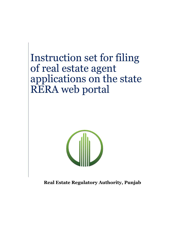Instruction set for filing of real estate agent applications on the state RERA web portal



**Real Estate Regulatory Authority, Punjab**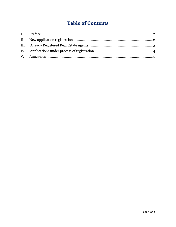# **Table of Contents**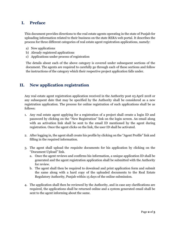#### <span id="page-2-0"></span>**I. Preface**

This document provides directions to the real estate agents operating in the state of Punjab for uploading information related to their business on the state RERA web portal. It describes the process for three different categories of real estate agent registration applications, namely:

- a) New applications
- b) Already registered applications
- c) Applications under process of registration

The details about each of the above category is covered under subsequent sections of the document. The agents are required to carefully go through each of these sections and follow the instructions of the category which their respective project application falls under.

### <span id="page-2-1"></span>**II. New application registration**

Any real estate agent registration application received in the Authority post 03 April 2018 or any subsequent date that may be specified by the Authority shall be considered as a new registration application. The process for online registration of such applications shall be as follows:

- 1. Any real estate agent applying for a registration of a project shall create a login ID and password by clicking on the "New Registration" link on the login screen. An email along with an activation link shall be sent to the email ID mentioned by the agent during registration. Once the agent clicks on the link, the user ID shall be activated.
- 2. After logging in, the agent shall create his profile by clicking on the "Agent Profile" link and filling in the required information.
- 3. The agent shall upload the requisite documents for his application by clicking on the "Document Upload" link.
	- a. Once the agent reviews and confirms his information, a unique application ID shall be generated and the agent registration application shall be submitted with the Authority for review.
	- b. The agent shall then be required to download and print application form and submit the same along with a hard copy of the uploaded documents to the Real Estate Regulatory Authority, Punjab within 15 days of the online submission.
- 4. The application shall then be reviewed by the Authority, and in case any clarifications are required, the applications shall be returned online and a system generated email shall be sent to the agent informing about the same.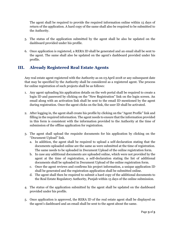The agent shall be required to provide the required information online within 15 days of return of the application. A hard copy of the same shall also be required to be submitted to the Authority.

- 5. The status of the application submitted by the agent shall be also be updated on the dashboard provided under his profile.
- 6. Once application is registered, a RERA ID shall be generated and an email shall be sent to the agent. The same shall also be updated on the agent's dashboard provided under his profile.

# <span id="page-3-0"></span>**III. Already Registered Real Estate Agents**

Any real estate agent registered with the Authority as on 03April 2018 or any subsequent date that may be specified by the Authority shall be considered as a registered agent. The process for online registration of such projects shall be as follows:

- 1. Any agent uploading his application details on the web portal shall be required to create a login ID and password by clicking on the "New Registration" link on the login screen. An email along with an activation link shall be sent to the email ID mentioned by the agent during registration. Once the agent clicks on the link, the user ID shall be activated.
- 2. After logging in, the agent shall create his profile by clicking on the "Agent Profile" link and filling in the required information. The agent needs to ensure that the information provided in this form is consistent with the information provided to the Authority at the time of submission of the offline application for registration.
- 3. The agent shall upload the requisite documents for his application by clicking on the "Document Upload" link.
	- a. In addition, the agent shall be required to upload a self-declaration stating that the documents uploaded online are the same as were submitted at the time of registration. The same needs to be uploaded in Document Upload of the online registration form.
	- b. In case any additional documents are uploaded online, which were not provided by the agent at the time of registration, a self-declaration stating the list of additional documents shall be uploaded in Document Upload of the online registration form.
	- c. Once the agent reviews and confirms his project information, a unique application ID shall be generated and the registration application shall be submitted online.
	- d. The agent shall then be required to submit a hard copy of the additional documents to the Real Estate Regulatory Authority, Punjab within 15 days of the online submission.
- 4. The status of the application submitted by the agent shall be updated on the dashboard provided under his profile.
- 5. Once application is approved, the RERA ID of the real estate agent shall be displayed on the agent's dashboard and an email shall be sent to the agent about the same.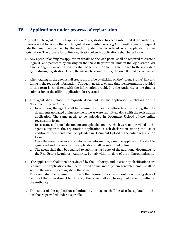# <span id="page-4-0"></span>**IV. Applications under process of registration**

Any real estate agent for which application for registration has been submitted at the Authority, however is yet to receive the RERA registration number as on 03April 2018 or any subsequent date that may be specified by the Authority shall be considered as an application under registration. The process for online registration of such applications shall be as follows:

- 1. Any agent uploading his application details on the web portal shall be required to create a login ID and password by clicking on the "New Registration" link on the login screen. An email along with an activation link shall be sent to the email ID mentioned by the real estate agent during registration. Once, the agent clicks on the link, the user ID shall be activated.
- 2. After logging in, the agent shall create his profile by clicking on the "Agent Profile" link and filling in the required information. The agent needs to ensure that the information provided in this form is consistent with the information provided to the Authority at the time of submission of the offline application for registration.
- 3. The agent shall upload the requisite documents for his application by clicking on the "Document Upload" link.
	- a. In addition, the agent shall be required to upload a self-declaration stating that the documents uploaded online are the same as were submitted along with the registration application. The same needs to be uploaded in Document Upload of the online registration form.
	- b. In case any additional documents are uploaded online, which were not provided by the agent along with the registration application, a self-declaration stating the list of additional documents shall be uploaded in Document Upload of the online registration form.
	- c. Once the agent reviews and confirms his information, a unique application ID shall be generated and the registration application shall be submitted online.
	- d. The agent shall then be required to submit a hard copy of the additional documents to the Real Estate Regulatory Authority, Punjab within 15 days of the online submission.
- 4. The application shall then be reviewed by the Authority, and in case any clarifications are required, the applications shall be returned online and a system generated email shall be sent to the agent informing about the same.

The agent shall be required to provide the required information online within 15 days of return of the application. A hard copy of the same shall also be required to be submitted to the Authority.

5. The status of the application submitted by the agent shall be also be updated on the dashboard provided under his profile.